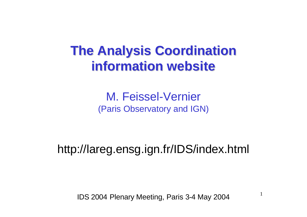# **The Analysis Coordination information website**

M. Feissel-Vernier (Paris Observatory and IGN)

http://lareg.ensg.ign.fr/IDS/index.html

IDS 2004 Plenary Meeting, Paris 3-4 May 2004

1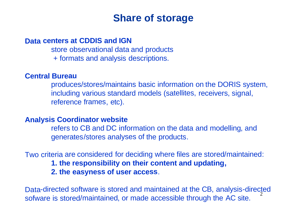## **Share of storage**

#### **Data centers at CDDIS and IGN**

store observational data and products + formats and analysis descriptions.

#### **Central Bureau**

produces/stores/maintains basic information on the DORIS system, including various standard models (satellites, receivers, signal, reference frames, etc).

#### **Analysis Coordinator website**

refers to CB and DC information on the data and modelling, and generates/stores analyses of the products.

Two criteria are considered for deciding where files are stored/maintained: **1. the responsibility on their content and updating, 2. the easyness of user access**.

2 Data-directed software is stored and maintained at the CB, analysis-directed sofware is stored/maintained, or made accessible through the AC site.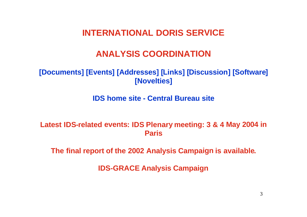### **INTERNATIONAL DORIS SERVICE**

## **ANALYSIS COORDINATION**

### **[Documents] [Events] [Addresses] [Links] [Discussion] [Software] [Novelties]**

#### **IDS home site - Central Bureau site**

**Latest IDS-related events: IDS Plenary meeting: 3 & 4 May 2004 in Paris** 

**The final report of the 2002 Analysis Campaign is available.** 

**IDS-GRACE Analysis Campaign**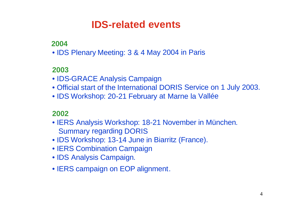## **IDS-related events**

### **2004**

• IDS Plenary Meeting: 3 & 4 May 2004 in Paris

### **2003**

- IDS-GRACE Analysis Campaign
- Official start of the International DORIS Service on 1 July 2003.
- IDS Workshop: 20-21 February at Marne la Vallée

### **2002**

- IERS Analysis Workshop: 18-21 November in München. Summary regarding DORIS
- IDS Workshop: 13-14 June in Biarritz (France).
- IERS Combination Campaign
- IDS Analysis Campaign.
- IERS campaign on EOP alignment.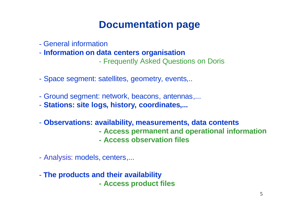## **Documentation page**

- General information
- -**Information on data centers organisation**

Frequently Asked Questions on Doris

- -Space segment: satellites, geometry, events,..
- -Ground segment: network, beacons, antennas,...
- -**Stations: site logs, history, coordinates,...**
- - **Observations: availability, measurements, data contents**
	- **- Access permanent and operational information**
	- **- Access observation files**
- Analysis: models, centers,...
- -**The products and their availability**

**- Access product files**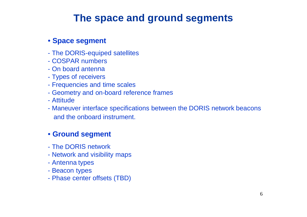## **The space and ground segments**

#### • **Space segment**

- The DORIS-equiped satellites
- COSPAR numbers
- On board antenna
- Types of receivers
- Frequencies and time scales
- Geometry and on-board reference frames
- Attitude
- Maneuver interface specifications between the DORIS network beacons and the onboard instrument.

#### • **Ground segment**

- The DORIS network
- Network and visibility maps
- Antenna types
- Beacon types
- Phase center offsets (TBD)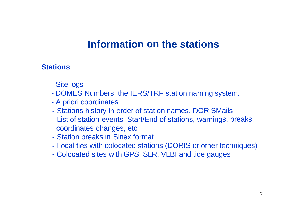## **Information on the stations**

### **Stations**

- -Site logs
- -DOMES Numbers: the IERS/TRF station naming system.
- -A priori coordinates
- -Stations history in order of station names, DORISMails
- - List of station events: Start/End of stations, warnings, breaks, coordinates changes, etc
- Station breaks in Sinex format
- -Local ties with colocated stations (DORIS or other techniques)
- -Colocated sites with GPS, SLR, VLBI and tide gauges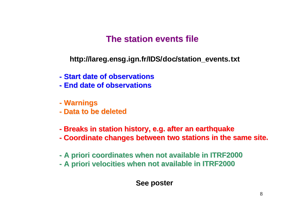## **The station events file**

**http://lareg.ensg.ign.fr/IDS/doc/station\_events.txt**

- **- Start date of observations**
- **- End date of observations**
- **- Warnings**
- **- Data to be deleted**
- **-Breaks in station history, e.g. after an earthquake**
- **-Coordinate changes between two stations in the same site.**
- **-A priori coordinates when not available in ITRF2000**
- **-A priori velocities when not available in ITRF2000**

**See poster**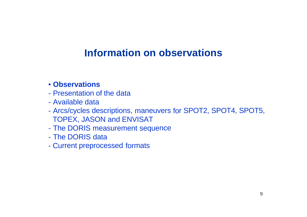## **Information on observations**

### • **Observations**

- Presentation of the data
- Available data
- - Arcs/cycles descriptions, maneuvers for SPOT2, SPOT4, SPOT5, TOPEX, JASON and ENVISAT
- -The DORIS measurement sequence
- The DORIS data
- -Current preprocessed formats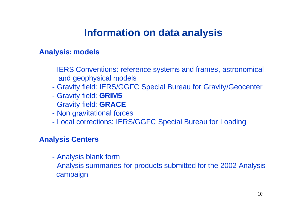## **Information on data analysis**

### **Analysis: models**

- - IERS Conventions: reference systems and frames, astronomical and geophysical models
- -Gravity field: IERS/GGFC Special Bureau for Gravity/Geocenter
- -Gravity field: **GRIM5**
- -Gravity field: **GRACE**
- -Non gravitational forces
- -Local corrections: IERS/GGFC Special Bureau for Loading

#### **Analysis Centers**

- -Analysis blank form
- - Analysis summaries for products submitted for the 2002 Analysis campaign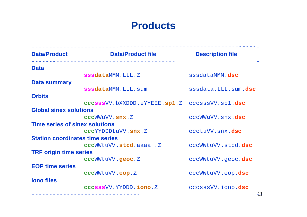## **Products**

| <b>Data/Product</b>                    | <b>Data/Product file</b>                      | <b>Description file</b> |
|----------------------------------------|-----------------------------------------------|-------------------------|
| <b>Data</b>                            |                                               |                         |
|                                        | sssdataMMM.LLL.Z                              | sssdataMMM.dsc          |
| <b>Data summary</b>                    |                                               |                         |
|                                        | sssdataMMM.LLL.sum                            | sssdata.LLL.sum.dsc     |
| <b>Orbits</b>                          |                                               |                         |
|                                        | cccsssVV.bXXDDD.eYYEEE.sp1.Z cccsssVV.sp1.dsc |                         |
| <b>Global sinex solutions</b>          |                                               |                         |
|                                        | cccWWuVV.snx.Z                                | cccWWuVV.snx.dsc        |
| <b>Time series of sinex solutions</b>  |                                               |                         |
|                                        | cccYYDDDtuVV.snx.Z                            | ccctuVV.snx.dsc         |
| <b>Station coordinates time series</b> |                                               |                         |
|                                        | cccWWtuVV.stcd.aaaa.Z                         | cccWWtuVV.stcd.dsc      |
| <b>TRF origin time series</b>          | cccWWtuVV.geoc.Z                              | cccWWtuVV.geoc.dsc      |
| <b>EOP time series</b>                 |                                               |                         |
|                                        | cccWWtuVV.eop.Z                               | cccWWtuVV.eop.dsc       |
| <b>lono files</b>                      |                                               |                         |
|                                        | cccsssVV.YYDDD.iono.Z                         | cccsssVV.iono.dsc       |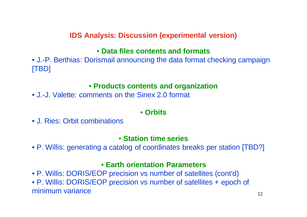### **IDS Analysis: Discussion (experimental version)**

#### • **Data files contents and formats**

• J.-P. Berthias: Dorismail announcing the data format checking campaign [TBD]

#### • **Products contents and organization**

• J.-J. Valette: comments on the Sinex 2.0 format

### • **Orbits**

• J. Ries: Orbit combinations

#### • **Station time series**

• P. Willis: generating <sup>a</sup> catalog of coordinates breaks per station [TBD?]

#### • **Earth orientation Parameters**

• P. Willis: DORIS/EOP precision vs number of satellites (cont'd) • P. Willis: DORIS/EOP precision vs number of satellites + epoch of minimum variance